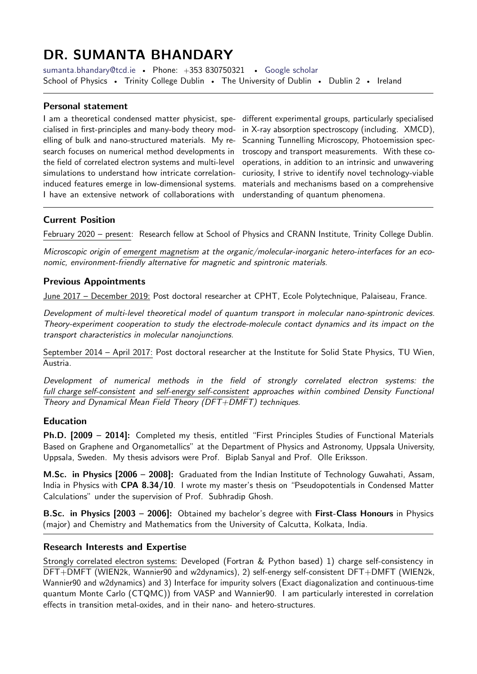# DR. SUMANTA BHANDARY

[sumanta.bhandary@tcd.ie](mailto:sumanta.bhandary@tcd.ie) • Phone: +353 830750321 • [Google scholar](https://scholar.google.com/citations?user=2cGaAHUAAAAJ&hl=en) School of Physics • Trinity College Dublin • The University of Dublin • Dublin 2 • Ireland

## Personal statement

I am a theoretical condensed matter physicist, specialised in first-principles and many-body theory modelling of bulk and nano-structured materials. My research focuses on numerical method developments in the field of correlated electron systems and multi-level simulations to understand how intricate correlationinduced features emerge in low-dimensional systems. I have an extensive network of collaborations with

different experimental groups, particularly specialised in X-ray absorption spectroscopy (including. XMCD), Scanning Tunnelling Microscopy, Photoemission spectroscopy and transport measurements. With these cooperations, in addition to an intrinsic and unwavering curiosity, I strive to identify novel technology-viable materials and mechanisms based on a comprehensive understanding of quantum phenomena.

# Current Position

February 2020 – present: Research fellow at School of Physics and CRANN Institute, Trinity College Dublin.

Microscopic origin of emergent magnetism at the organic/molecular-inorganic hetero-interfaces for an economic, environment-friendly alternative for magnetic and spintronic materials.

## Previous Appointments

June 2017 - December 2019: Post doctoral researcher at CPHT, Ecole Polytechnique, Palaiseau, France.

Development of multi-level theoretical model of quantum transport in molecular nano-spintronic devices. Theory-experiment cooperation to study the electrode-molecule contact dynamics and its impact on the transport characteristics in molecular nanojunctions.

September 2014 – April 2017: Post doctoral researcher at the Institute for Solid State Physics, TU Wien, Austria.

Development of numerical methods in the field of strongly correlated electron systems: the full charge self-consistent and self-energy self-consistent approaches within combined Density Functional Theory and Dynamical Mean Field Theory (DFT+DMFT) techniques.

#### Education

Ph.D. [2009 - 2014]: Completed my thesis, entitled "First Principles Studies of Functional Materials Based on Graphene and Organometallics" at the Department of Physics and Astronomy, Uppsala University, Uppsala, Sweden. My thesis advisors were Prof. Biplab Sanyal and Prof. Olle Eriksson.

M.Sc. in Physics [2006 – 2008]: Graduated from the Indian Institute of Technology Guwahati, Assam, India in Physics with CPA 8.34/10. I wrote my master's thesis on "Pseudopotentials in Condensed Matter Calculations" under the supervision of Prof. Subhradip Ghosh.

B.Sc. in Physics [2003 – 2006]: Obtained my bachelor's degree with First-Class Honours in Physics (major) and Chemistry and Mathematics from the University of Calcutta, Kolkata, India.

## Research Interests and Expertise

Strongly correlated electron systems: Developed (Fortran & Python based) 1) charge self-consistency in DFT+DMFT (WIEN2k, Wannier90 and w2dynamics), 2) self-energy self-consistent DFT+DMFT (WIEN2k, Wannier90 and w2dynamics) and 3) Interface for impurity solvers (Exact diagonalization and continuous-time quantum Monte Carlo (CTQMC)) from VASP and Wannier90. I am particularly interested in correlation effects in transition metal-oxides, and in their nano- and hetero-structures.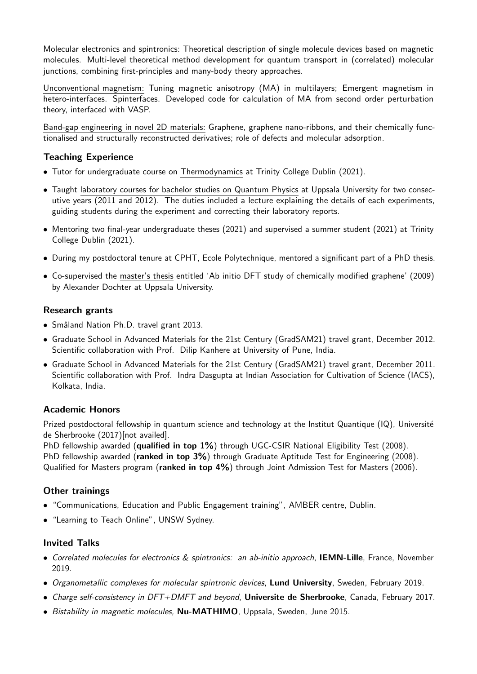Molecular electronics and spintronics: Theoretical description of single molecule devices based on magnetic molecules. Multi-level theoretical method development for quantum transport in (correlated) molecular junctions, combining first-principles and many-body theory approaches.

Unconventional magnetism: Tuning magnetic anisotropy (MA) in multilayers; Emergent magnetism in hetero-interfaces. Spinterfaces. Developed code for calculation of MA from second order perturbation theory, interfaced with VASP.

Band-gap engineering in novel 2D materials: Graphene, graphene nano-ribbons, and their chemically functionalised and structurally reconstructed derivatives; role of defects and molecular adsorption.

# Teaching Experience

- Tutor for undergraduate course on Thermodynamics at Trinity College Dublin (2021).
- Taught laboratory courses for bachelor studies on Quantum Physics at Uppsala University for two consecutive years (2011 and 2012). The duties included a lecture explaining the details of each experiments, guiding students during the experiment and correcting their laboratory reports.
- Mentoring two final-year undergraduate theses (2021) and supervised a summer student (2021) at Trinity College Dublin (2021).
- During my postdoctoral tenure at CPHT, Ecole Polytechnique, mentored a significant part of a PhD thesis.
- Co-supervised the master's thesis entitled 'Ab initio DFT study of chemically modified graphene' (2009) by Alexander Dochter at Uppsala University.

## Research grants

- Småland Nation Ph.D. travel grant 2013.
- Graduate School in Advanced Materials for the 21st Century (GradSAM21) travel grant, December 2012. Scientific collaboration with Prof. Dilip Kanhere at University of Pune, India.
- Graduate School in Advanced Materials for the 21st Century (GradSAM21) travel grant, December 2011. Scientific collaboration with Prof. Indra Dasgupta at Indian Association for Cultivation of Science (IACS), Kolkata, India.

# Academic Honors

Prized postdoctoral fellowship in quantum science and technology at the Institut Quantique (IQ), Université de Sherbrooke (2017)[not availed].

PhD fellowship awarded (qualified in top 1%) through UGC-CSIR National Eligibility Test (2008). PhD fellowship awarded (ranked in top 3%) through Graduate Aptitude Test for Engineering (2008). Qualified for Masters program (ranked in top 4%) through Joint Admission Test for Masters (2006).

# Other trainings

- "Communications, Education and Public Engagement training", AMBER centre, Dublin.
- "Learning to Teach Online", UNSW Sydney.

# Invited Talks

- Correlated molecules for electronics & spintronics: an ab-initio approach, **IEMN-Lille**, France, November 2019.
- Organometallic complexes for molecular spintronic devices, Lund University, Sweden, February 2019.
- Charge self-consistency in DFT+DMFT and beyond, Universite de Sherbrooke, Canada, February 2017.
- Bistability in magnetic molecules, Nu-MATHIMO, Uppsala, Sweden, June 2015.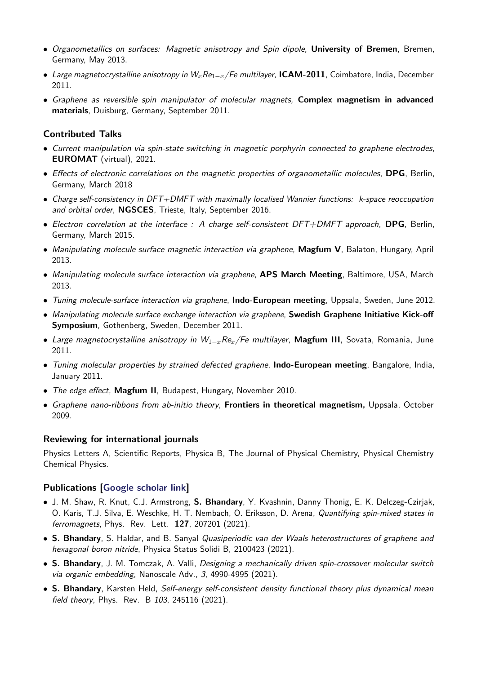- Organometallics on surfaces: Magnetic anisotropy and Spin dipole, University of Bremen, Bremen, Germany, May 2013.
- Large magnetocrystalline anisotropy in  $W_x$ Re<sub>1−x</sub>/Fe multilayer, **ICAM-2011**, Coimbatore, India, December 2011.
- Graphene as reversible spin manipulator of molecular magnets, Complex magnetism in advanced materials, Duisburg, Germany, September 2011.

## Contributed Talks

- Current manipulation via spin-state switching in magnetic porphyrin connected to graphene electrodes, EUROMAT (virtual), 2021.
- Effects of electronic correlations on the magnetic properties of organometallic molecules, DPG, Berlin, Germany, March 2018
- Charge self-consistency in DFT+DMFT with maximally localised Wannier functions: k-space reoccupation and orbital order, NGSCES, Trieste, Italy, September 2016.
- Electron correlation at the interface : A charge self-consistent  $DFT+DMFT$  approach, **DPG**, Berlin, Germany, March 2015.
- Manipulating molecule surface magnetic interaction via graphene, Magfum V, Balaton, Hungary, April 2013.
- Manipulating molecule surface interaction via graphene, APS March Meeting, Baltimore, USA, March 2013.
- Tuning molecule-surface interaction via graphene, **Indo-European meeting**, Uppsala, Sweden, June 2012.
- Manipulating molecule surface exchange interaction via graphene, Swedish Graphene Initiative Kick-off Symposium, Gothenberg, Sweden, December 2011.
- Large magnetocrystalline anisotropy in  $W_{1-x}Re_x/Fe$  multilayer, Magfum III, Sovata, Romania, June 2011.
- Tuning molecular properties by strained defected graphene, Indo-European meeting, Bangalore, India, January 2011.
- The edge effect, Magfum II, Budapest, Hungary, November 2010.
- Graphene nano-ribbons from ab-initio theory, Frontiers in theoretical magnetism, Uppsala, October 2009.

#### Reviewing for international journals

Physics Letters A, Scientific Reports, Physica B, The Journal of Physical Chemistry, Physical Chemistry Chemical Physics.

#### Publications [\[Google scholar link\]](https://scholar.google.com/citations?user=2cGaAHUAAAAJ&hl=en)

- J. M. Shaw, R. Knut, C.J. Armstrong, S. Bhandary, Y. Kvashnin, Danny Thonig, E. K. Delczeg-Czirjak, O. Karis, T.J. Silva, E. Weschke, H. T. Nembach, O. Eriksson, D. Arena, *Quantifying spin-mixed states in* ferromagnets, Phys. Rev. Lett. 127, 207201 (2021).
- S. Bhandary, S. Haldar, and B. Sanyal Quasiperiodic van der Waals heterostructures of graphene and hexagonal boron nitride, Physica Status Solidi B, 2100423 (2021).
- S. Bhandary, J. M. Tomczak, A. Valli, Designing a mechanically driven spin-crossover molecular switch via organic embedding, Nanoscale Adv., 3, 4990-4995 (2021).
- S. Bhandary, Karsten Held, Self-energy self-consistent density functional theory plus dynamical mean field theory, Phys. Rev. B 103, 245116 (2021).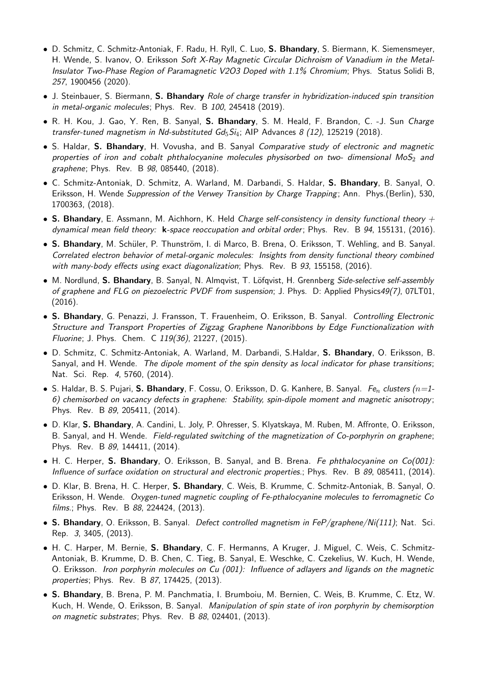- D. Schmitz, C. Schmitz-Antoniak, F. Radu, H. Ryll, C. Luo, S. Bhandary, S. Biermann, K. Siemensmeyer, H. Wende, S. Ivanov, O. Eriksson Soft X-Ray Magnetic Circular Dichroism of Vanadium in the Metal-Insulator Two-Phase Region of Paramagnetic V2O3 Doped with 1.1% Chromium; Phys. Status Solidi B, 257, 1900456 (2020).
- J. Steinbauer, S. Biermann, S. Bhandary Role of charge transfer in hybridization-induced spin transition in metal-organic molecules; Phys. Rev. B 100, 245418 (2019).
- R. H. Kou, J. Gao, Y. Ren, B. Sanyal, S. Bhandary, S. M. Heald, F. Brandon, C. -J. Sun Charge transfer-tuned magnetism in Nd-substituted  $Gd_5Si_4$ ; AIP Advances 8 (12), 125219 (2018).
- S. Haldar, S. Bhandary, H. Vovusha, and B. Sanyal Comparative study of electronic and magnetic properties of iron and cobalt phthalocyanine molecules physisorbed on two- dimensional MoS<sub>2</sub> and graphene; Phys. Rev. B 98, 085440, (2018).
- C. Schmitz-Antoniak, D. Schmitz, A. Warland, M. Darbandi, S. Haldar, S. Bhandary, B. Sanyal, O. Eriksson, H. Wende Suppression of the Verwey Transition by Charge Trapping; Ann. Phys. (Berlin), 530, 1700363, (2018).
- S. Bhandary, E. Assmann, M. Aichhorn, K. Held Charge self-consistency in density functional theory  $+$ dynamical mean field theory: **k**-space reoccupation and orbital order; Phys. Rev. B 94, 155131, (2016).
- S. Bhandary, M. Schüler, P. Thunström, I. di Marco, B. Brena, O. Eriksson, T. Wehling, and B. Sanyal. Correlated electron behavior of metal-organic molecules: Insights from density functional theory combined with many-body effects using exact diagonalization; Phys. Rev. B 93, 155158, (2016).
- M. Nordlund, S. Bhandary, B. Sanyal, N. Almqvist, T. Löfqvist, H. Grennberg Side-selective self-assembly of graphene and FLG on piezoelectric PVDF from suspension; J. Phys. D: Applied Physics49(7), 07LT01, (2016).
- S. Bhandary, G. Penazzi, J. Fransson, T. Frauenheim, O. Eriksson, B. Sanyal. Controlling Electronic Structure and Transport Properties of Zigzag Graphene Nanoribbons by Edge Functionalization with Fluorine; J. Phys. Chem. C 119(36), 21227, (2015).
- D. Schmitz, C. Schmitz-Antoniak, A. Warland, M. Darbandi, S.Haldar, S. Bhandary, O. Eriksson, B. Sanyal, and H. Wende. The dipole moment of the spin density as local indicator for phase transitions; Nat. Sci. Rep. 4, 5760, (2014).
- S. Haldar, B. S. Pujari, S. Bhandary, F. Cossu, O. Eriksson, D. G. Kanhere, B. Sanyal. Fe<sub>n</sub> clusters ( $n=1$ -6) chemisorbed on vacancy defects in graphene: Stability, spin-dipole moment and magnetic anisotropy ; Phys. Rev. B 89, 205411, (2014).
- D. Klar, S. Bhandary, A. Candini, L. Joly, P. Ohresser, S. Klyatskaya, M. Ruben, M. Affronte, O. Eriksson, B. Sanyal, and H. Wende. Field-regulated switching of the magnetization of Co-porphyrin on graphene; Phys. Rev. B 89, 144411, (2014).
- H. C. Herper, S. Bhandary, O. Eriksson, B. Sanyal, and B. Brena. Fe phthalocyanine on Co(001): Influence of surface oxidation on structural and electronic properties.; Phys. Rev. B 89, 085411, (2014).
- D. Klar, B. Brena, H. C. Herper, S. Bhandary, C. Weis, B. Krumme, C. Schmitz-Antoniak, B. Sanyal, O. Eriksson, H. Wende. Oxygen-tuned magnetic coupling of Fe-pthalocyanine molecules to ferromagnetic Co films.; Phys. Rev. B 88, 224424, (2013).
- S. Bhandary, O. Eriksson, B. Sanyal. Defect controlled magnetism in FeP/graphene/Ni(111); Nat. Sci. Rep. 3, 3405, (2013).
- H. C. Harper, M. Bernie, S. Bhandary, C. F. Hermanns, A Kruger, J. Miguel, C. Weis, C. Schmitz-Antoniak, B. Krumme, D. B. Chen, C. Tieg, B. Sanyal, E. Weschke, C. Czekelius, W. Kuch, H. Wende, O. Eriksson. Iron porphyrin molecules on Cu (001): Influence of adlayers and ligands on the magnetic properties; Phys. Rev. B 87, 174425, (2013).
- S. Bhandary, B. Brena, P. M. Panchmatia, I. Brumboiu, M. Bernien, C. Weis, B. Krumme, C. Etz, W. Kuch, H. Wende, O. Eriksson, B. Sanyal. Manipulation of spin state of iron porphyrin by chemisorption on magnetic substrates; Phys. Rev. B 88, 024401, (2013).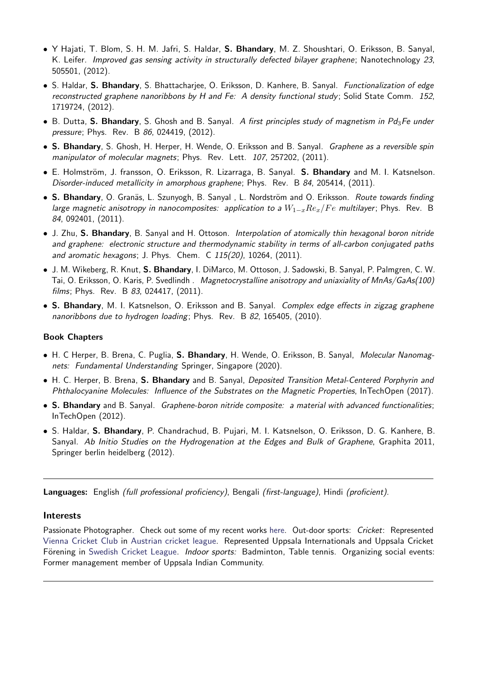- Y Hajati, T. Blom, S. H. M. Jafri, S. Haldar, S. Bhandary, M. Z. Shoushtari, O. Eriksson, B. Sanyal, K. Leifer. Improved gas sensing activity in structurally defected bilayer graphene; Nanotechnology 23, 505501, (2012).
- S. Haldar, S. Bhandary, S. Bhattacharjee, O. Eriksson, D. Kanhere, B. Sanyal. Functionalization of edge reconstructed graphene nanoribbons by H and Fe: A density functional study; Solid State Comm. 152, 1719724, (2012).
- B. Dutta, S. Bhandary, S. Ghosh and B. Sanyal. A first principles study of magnetism in Pd<sub>3</sub>Fe under pressure; Phys. Rev. B 86, 024419, (2012).
- S. Bhandary, S. Ghosh, H. Herper, H. Wende, O. Eriksson and B. Sanyal. Graphene as a reversible spin manipulator of molecular magnets; Phys. Rev. Lett. 107, 257202, (2011).
- E. Holmström, J. fransson, O. Eriksson, R. Lizarraga, B. Sanyal. S. Bhandary and M. I. Katsnelson. Disorder-induced metallicity in amorphous graphene; Phys. Rev. B 84, 205414, (2011).
- S. Bhandary, O. Granäs, L. Szunyogh, B. Sanyal, L. Nordström and O. Eriksson. Route towards finding large magnetic anisotropy in nanocomposites: application to a  $W_{1-x}Re_x/Fe$  multilayer; Phys. Rev. B 84, 092401, (2011).
- J. Zhu, S. Bhandary, B. Sanyal and H. Ottoson. Interpolation of atomically thin hexagonal boron nitride and graphene: electronic structure and thermodynamic stability in terms of all-carbon conjugated paths and aromatic hexagons; J. Phys. Chem. C 115(20), 10264, (2011).
- J. M. Wikeberg, R. Knut, S. Bhandary, I. DiMarco, M. Ottoson, J. Sadowski, B. Sanyal, P. Palmgren, C. W. Tai, O. Eriksson, O. Karis, P. Svedlindh . Magnetocrystalline anisotropy and uniaxiality of MnAs/GaAs(100) films; Phys. Rev. B 83, 024417, (2011).
- S. Bhandary, M. I. Katsnelson, O. Eriksson and B. Sanyal. Complex edge effects in zigzag graphene nanoribbons due to hydrogen loading; Phys. Rev. B 82, 165405, (2010).

#### Book Chapters

- H. C Herper, B. Brena, C. Puglia, S. Bhandary, H. Wende, O. Eriksson, B. Sanyal, Molecular Nanomagnets: Fundamental Understanding Springer, Singapore (2020).
- H. C. Herper, B. Brena, S. Bhandary and B. Sanyal, Deposited Transition Metal-Centered Porphyrin and Phthalocyanine Molecules: Influence of the Substrates on the Magnetic Properties, InTechOpen (2017).
- S. Bhandary and B. Sanyal. Graphene-boron nitride composite: a material with advanced functionalities; InTechOpen (2012).
- S. Haldar, S. Bhandary, P. Chandrachud, B. Pujari, M. I. Katsnelson, O. Eriksson, D. G. Kanhere, B. Sanyal. Ab Initio Studies on the Hydrogenation at the Edges and Bulk of Graphene, Graphita 2011, Springer berlin heidelberg (2012).

Languages: English (full professional proficiency), Bengali (first-language), Hindi (proficient).

#### Interests

Passionate Photographer. Check out some of my recent works [here.](https://500px.com/p/SumantaBhandary?view=photos) Out-door sports: Cricket: Represented [Vienna Cricket Club](https://www.viennacricketclub.com/) in [Austrian cricket league.](http://www.austriacricket.at/) Represented Uppsala Internationals and Uppsala Cricket Förening in [Swedish Cricket League.](https://cricclubs.com/SCFLeague) Indoor sports: Badminton, Table tennis. Organizing social events: Former management member of Uppsala Indian Community.